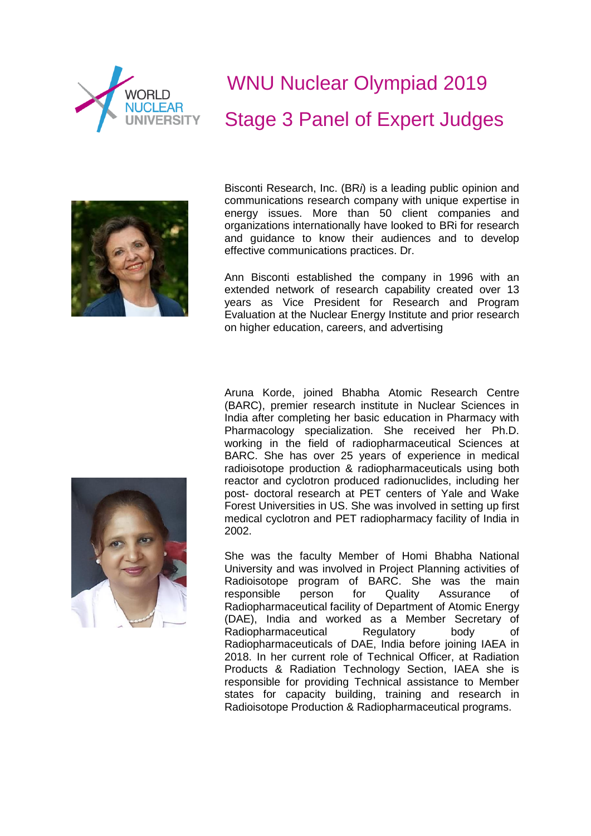

## WNU Nuclear Olympiad 2019 Stage 3 Panel of Expert Judges



Bisconti Research, Inc. (BR*i*) is a leading public opinion and communications research company with unique expertise in energy issues. More than 50 client companies and organizations internationally have looked to BRi for research and guidance to know their audiences and to develop effective communications practices. Dr.

Ann Bisconti established the company in 1996 with an extended network of research capability created over 13 years as Vice President for Research and Program Evaluation at the Nuclear Energy Institute and prior research on higher education, careers, and advertising

Aruna Korde, joined Bhabha Atomic Research Centre (BARC), premier research institute in Nuclear Sciences in India after completing her basic education in Pharmacy with Pharmacology specialization. She received her Ph.D. working in the field of radiopharmaceutical Sciences at BARC. She has over 25 years of experience in medical radioisotope production & radiopharmaceuticals using both reactor and cyclotron produced radionuclides, including her post- doctoral research at PET centers of Yale and Wake Forest Universities in US. She was involved in setting up first medical cyclotron and PET radiopharmacy facility of India in 2002.

She was the faculty Member of Homi Bhabha National University and was involved in Project Planning activities of Radioisotope program of BARC. She was the main responsible person for Quality Assurance of Radiopharmaceutical facility of Department of Atomic Energy (DAE), India and worked as a Member Secretary of Radiopharmaceutical Regulatory body of Radiopharmaceuticals of DAE, India before joining IAEA in 2018. In her current role of Technical Officer, at Radiation Products & Radiation Technology Section, IAEA she is responsible for providing Technical assistance to Member states for capacity building, training and research in Radioisotope Production & Radiopharmaceutical programs.